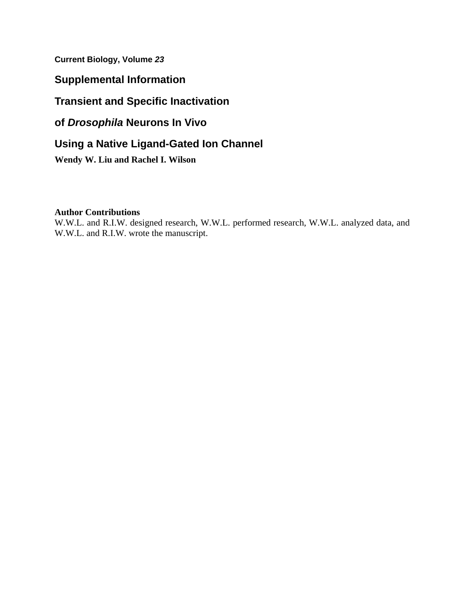**Current Biology, Volume** *23*

## **Supplemental Information**

## **Transient and Specific Inactivation**

## **of** *Drosophila* **Neurons In Vivo**

# **Using a Native Ligand-Gated Ion Channel**

**Wendy W. Liu and Rachel I. Wilson**

#### **Author Contributions**

W.W.L. and R.I.W. designed research, W.W.L. performed research, W.W.L. analyzed data, and W.W.L. and R.I.W. wrote the manuscript.